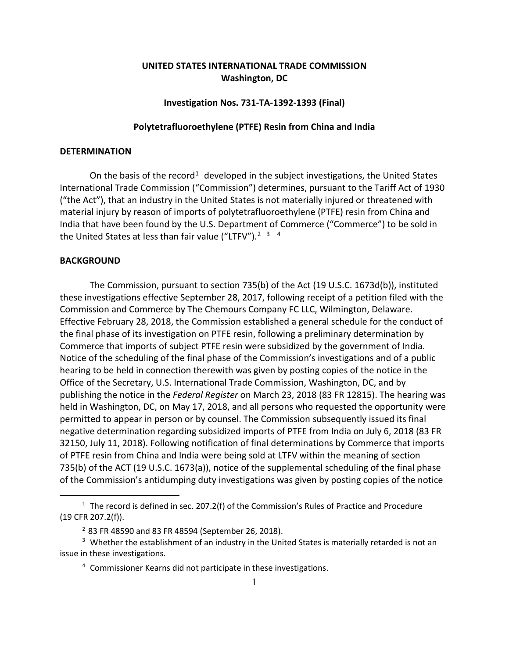# **UNITED STATES INTERNATIONAL TRADE COMMISSION Washington, DC**

# **Investigation Nos. 731-TA-1392-1393 (Final)**

# **Polytetrafluoroethylene (PTFE) Resin from China and India**

# **DETERMINATION**

On the basis of the record<sup>[1](#page-0-0)</sup> developed in the subject investigations, the United States International Trade Commission ("Commission") determines, pursuant to the Tariff Act of 1930 ("the Act"), that an industry in the United States is not materially injured or threatened with material injury by reason of imports of polytetrafluoroethylene (PTFE) resin from China and India that have been found by the U.S. Department of Commerce ("Commerce") to be sold in the United States at less than fair value ("LTFV").<sup>[2](#page-0-1) [3](#page-0-2)</sup> <sup>[4](#page-0-3)</sup>

#### **BACKGROUND**

 $\overline{a}$ 

The Commission, pursuant to section 735(b) of the Act (19 U.S.C. 1673d(b)), instituted these investigations effective September 28, 2017, following receipt of a petition filed with the Commission and Commerce by The Chemours Company FC LLC, Wilmington, Delaware. Effective February 28, 2018, the Commission established a general schedule for the conduct of the final phase of its investigation on PTFE resin, following a preliminary determination by Commerce that imports of subject PTFE resin were subsidized by the government of India. Notice of the scheduling of the final phase of the Commission's investigations and of a public hearing to be held in connection therewith was given by posting copies of the notice in the Office of the Secretary, U.S. International Trade Commission, Washington, DC, and by publishing the notice in the *Federal Register* on March 23, 2018 (83 FR 12815). The hearing was held in Washington, DC, on May 17, 2018, and all persons who requested the opportunity were permitted to appear in person or by counsel. The Commission subsequently issued its final negative determination regarding subsidized imports of PTFE from India on July 6, 2018 (83 FR 32150, July 11, 2018). Following notification of final determinations by Commerce that imports of PTFE resin from China and India were being sold at LTFV within the meaning of section 735(b) of the ACT (19 U.S.C. 1673(a)), notice of the supplemental scheduling of the final phase of the Commission's antidumping duty investigations was given by posting copies of the notice

<span id="page-0-0"></span><sup>&</sup>lt;sup>1</sup> The record is defined in sec. 207.2(f) of the Commission's Rules of Practice and Procedure (19 CFR 207.2(f)).

<sup>2</sup> 83 FR 48590 and 83 FR 48594 (September 26, 2018).

<span id="page-0-3"></span><span id="page-0-2"></span><span id="page-0-1"></span> $3$  Whether the establishment of an industry in the United States is materially retarded is not an issue in these investigations.

<sup>4</sup> Commissioner Kearns did not participate in these investigations.